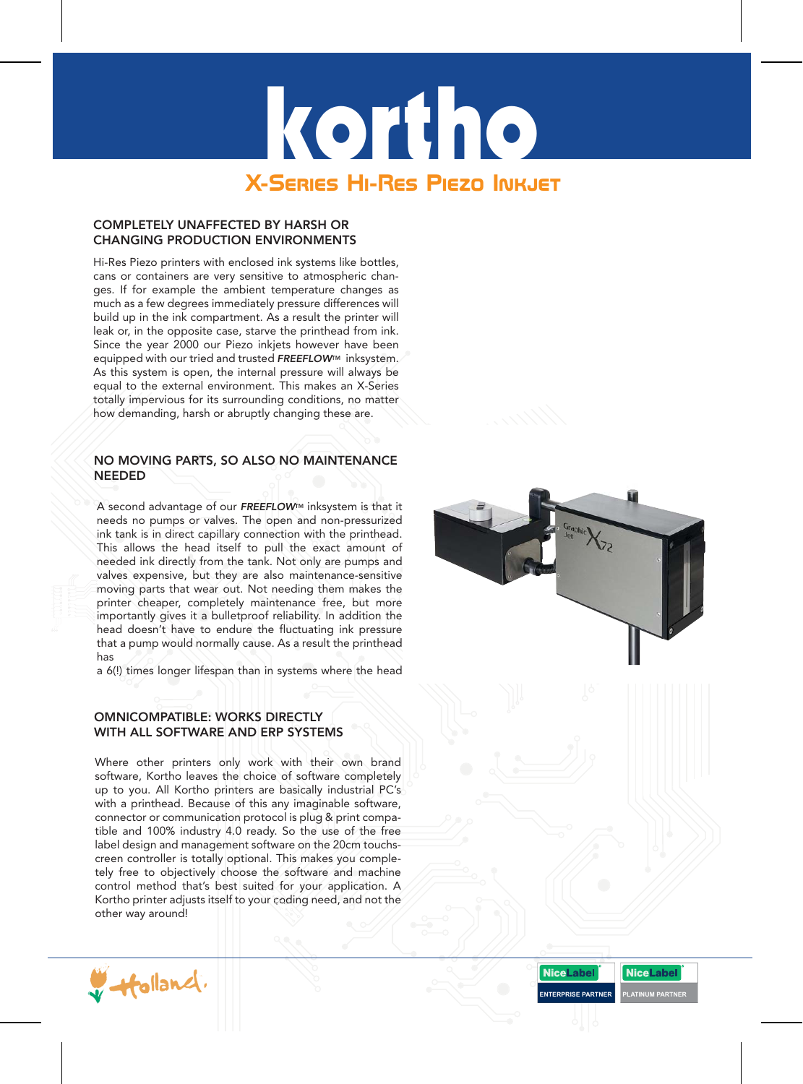# kortho **X-Series Hi-Res Piezo Inkjet**

# COMPLETELY UNAFFECTED BY HARSH OR CHANGING PRODUCTION ENVIRONMENTS

Hi-Res Piezo printers with enclosed ink systems like bottles, cans or containers are very sensitive to atmospheric changes. If for example the ambient temperature changes as much as a few degrees immediately pressure differences will build up in the ink compartment. As a result the printer will leak or, in the opposite case, starve the printhead from ink. Since the year 2000 our Piezo inkjets however have been equipped with our tried and trusted **FREEFLOW™** inksystem. As this system is open, the internal pressure will always be equal to the external environment. This makes an X-Series totally impervious for its surrounding conditions, no matter how demanding, harsh or abruptly changing these are.

### NO MOVING PARTS, SO ALSO NO MAINTENANCE NEEDED

A second advantage of our *FREEFLOW*TM inksystem is that it needs no pumps or valves. The open and non-pressurized ink tank is in direct capillary connection with the printhead. This allows the head itself to pull the exact amount of needed ink directly from the tank. Not only are pumps and valves expensive, but they are also maintenance-sensitive moving parts that wear out. Not needing them makes the printer cheaper, completely maintenance free, but more importantly gives it a bulletproof reliability. In addition the head doesn't have to endure the fluctuating ink pressure that a pump would normally cause. As a result the printhead has

a 6(!) times longer lifespan than in systems where the head

# OMNICOMPATIBLE: WORKS DIRECTLY WITH ALL SOFTWARE AND ERP SYSTEMS

Where other printers only work with their own brand software, Kortho leaves the choice of software completely up to you. All Kortho printers are basically industrial PC's with a printhead. Because of this any imaginable software, connector or communication protocol is plug & print compatible and 100% industry 4.0 ready. So the use of the free label design and management software on the 20cm touchscreen controller is totally optional. This makes you completely free to objectively choose the software and machine control method that's best suited for your application. A Kortho printer adjusts itself to your coding need, and not the other way around!





**ENTERPRISE PARTNER PLATINUM PARTNER**

**NiceLabel**